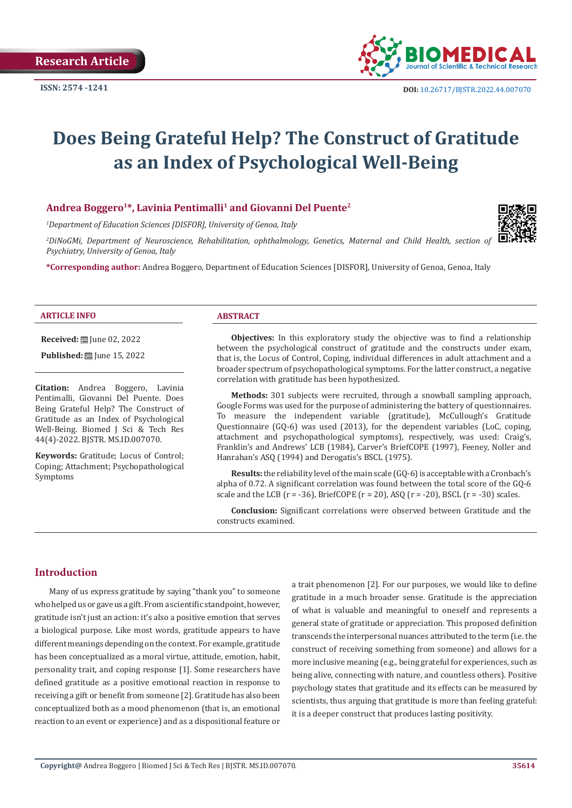

# **Does Being Grateful Help? The Construct of Gratitude as an Index of Psychological Well-Being**

# **Andrea Boggero1\*, Lavinia Pentimalli1 and Giovanni Del Puente2**

*1 Department of Education Sciences [DISFOR], University of Genoa, Italy*

*2 DiNoGMi, Department of Neuroscience, Rehabilitation, ophthalmology, Genetics, Maternal and Child Health, section of Psychiatry, University of Genoa, Italy*

**\*Corresponding author:** Andrea Boggero, Department of Education Sciences [DISFOR], University of Genoa, Genoa, Italy



#### **ARTICLE INFO ABSTRACT**

**Received:** ■ June 02, 2022

**Published:** ■ June 15, 2022

**Citation:** Andrea Boggero, Lavinia Pentimalli, Giovanni Del Puente. Does Being Grateful Help? The Construct of Gratitude as an Index of Psychological Well-Being. Biomed J Sci & Tech Res 44(4)-2022. BJSTR. MS.ID.007070.

**Keywords:** Gratitude; Locus of Control; Coping; Attachment; Psychopathological Symptoms

**Objectives:** In this exploratory study the objective was to find a relationship between the psychological construct of gratitude and the constructs under exam, that is, the Locus of Control, Coping, individual differences in adult attachment and a broader spectrum of psychopathological symptoms. For the latter construct, a negative correlation with gratitude has been hypothesized.

**Methods:** 301 subjects were recruited, through a snowball sampling approach, Google Forms was used for the purpose of administering the battery of questionnaires. To measure the independent variable (gratitude), McCullough's Gratitude Questionnaire (GQ-6) was used (2013), for the dependent variables (LoC, coping, attachment and psychopathological symptoms), respectively, was used: Craig's, Franklin's and Andrews' LCB (1984), Carver's BriefCOPE (1997), Feeney, Noller and Hanrahan's ASQ (1994) and Derogatis's BSCL (1975).

**Results:** the reliability level of the main scale (GQ-6) is acceptable with a Cronbach's alpha of 0.72. A significant correlation was found between the total score of the GQ-6 scale and the LCB ( $r = -36$ ), BriefCOPE ( $r = 20$ ), ASQ ( $r = -20$ ), BSCL ( $r = -30$ ) scales.

**Conclusion:** Significant correlations were observed between Gratitude and the constructs examined.

# **Introduction**

Many of us express gratitude by saying "thank you" to someone who helped us or gave us a gift. From a scientific standpoint, however, gratitude isn't just an action: it's also a positive emotion that serves a biological purpose. Like most words, gratitude appears to have different meanings depending on the context. For example, gratitude has been conceptualized as a moral virtue, attitude, emotion, habit, personality trait, and coping response [1]. Some researchers have defined gratitude as a positive emotional reaction in response to receiving a gift or benefit from someone [2]. Gratitude has also been conceptualized both as a mood phenomenon (that is, an emotional reaction to an event or experience) and as a dispositional feature or a trait phenomenon [2]. For our purposes, we would like to define gratitude in a much broader sense. Gratitude is the appreciation of what is valuable and meaningful to oneself and represents a general state of gratitude or appreciation. This proposed definition transcends the interpersonal nuances attributed to the term (i.e. the construct of receiving something from someone) and allows for a more inclusive meaning (e.g., being grateful for experiences, such as being alive, connecting with nature, and countless others). Positive psychology states that gratitude and its effects can be measured by scientists, thus arguing that gratitude is more than feeling grateful: it is a deeper construct that produces lasting positivity.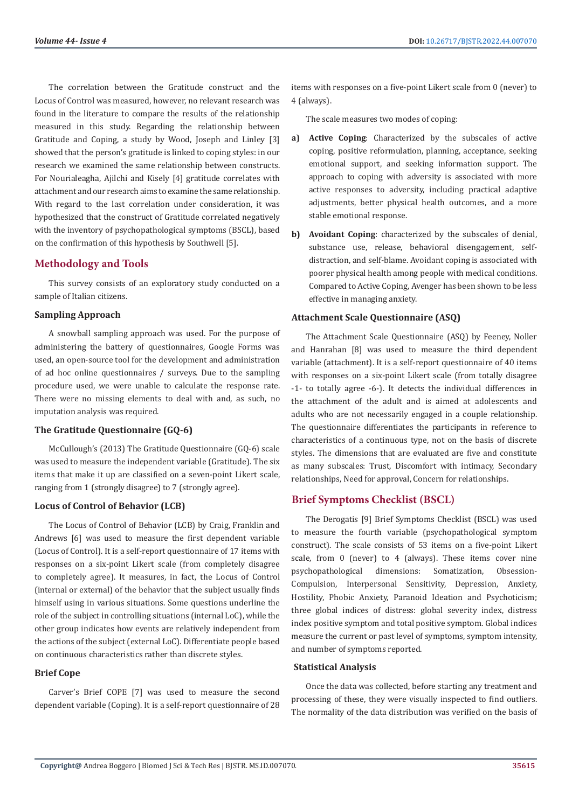The correlation between the Gratitude construct and the Locus of Control was measured, however, no relevant research was found in the literature to compare the results of the relationship measured in this study. Regarding the relationship between Gratitude and Coping, a study by Wood, Joseph and Linley [3] showed that the person's gratitude is linked to coping styles: in our research we examined the same relationship between constructs. For Nourialeagha, Ajilchi and Kisely [4] gratitude correlates with attachment and our research aims to examine the same relationship. With regard to the last correlation under consideration, it was hypothesized that the construct of Gratitude correlated negatively with the inventory of psychopathological symptoms (BSCL), based on the confirmation of this hypothesis by Southwell [5].

# **Methodology and Tools**

This survey consists of an exploratory study conducted on a sample of Italian citizens.

#### **Sampling Approach**

A snowball sampling approach was used. For the purpose of administering the battery of questionnaires, Google Forms was used, an open-source tool for the development and administration of ad hoc online questionnaires / surveys. Due to the sampling procedure used, we were unable to calculate the response rate. There were no missing elements to deal with and, as such, no imputation analysis was required.

#### **The Gratitude Questionnaire (GQ-6)**

McCullough's (2013) The Gratitude Questionnaire (GQ-6) scale was used to measure the independent variable (Gratitude). The six items that make it up are classified on a seven-point Likert scale, ranging from 1 (strongly disagree) to 7 (strongly agree).

#### **Locus of Control of Behavior (LCB)**

The Locus of Control of Behavior (LCB) by Craig, Franklin and Andrews [6] was used to measure the first dependent variable (Locus of Control). It is a self-report questionnaire of 17 items with responses on a six-point Likert scale (from completely disagree to completely agree). It measures, in fact, the Locus of Control (internal or external) of the behavior that the subject usually finds himself using in various situations. Some questions underline the role of the subject in controlling situations (internal LoC), while the other group indicates how events are relatively independent from the actions of the subject (external LoC). Differentiate people based on continuous characteristics rather than discrete styles.

# **Brief Cope**

Carver's Brief COPE [7] was used to measure the second dependent variable (Coping). It is a self-report questionnaire of 28 items with responses on a five-point Likert scale from 0 (never) to 4 (always).

The scale measures two modes of coping:

- **a) Active Coping**: Characterized by the subscales of active coping, positive reformulation, planning, acceptance, seeking emotional support, and seeking information support. The approach to coping with adversity is associated with more active responses to adversity, including practical adaptive adjustments, better physical health outcomes, and a more stable emotional response.
- **b) Avoidant Coping**: characterized by the subscales of denial, substance use, release, behavioral disengagement, selfdistraction, and self-blame. Avoidant coping is associated with poorer physical health among people with medical conditions. Compared to Active Coping, Avenger has been shown to be less effective in managing anxiety.

### **Attachment Scale Questionnaire (ASQ)**

The Attachment Scale Questionnaire (ASQ) by Feeney, Noller and Hanrahan [8] was used to measure the third dependent variable (attachment). It is a self-report questionnaire of 40 items with responses on a six-point Likert scale (from totally disagree -1- to totally agree -6-). It detects the individual differences in the attachment of the adult and is aimed at adolescents and adults who are not necessarily engaged in a couple relationship. The questionnaire differentiates the participants in reference to characteristics of a continuous type, not on the basis of discrete styles. The dimensions that are evaluated are five and constitute as many subscales: Trust, Discomfort with intimacy, Secondary relationships, Need for approval, Concern for relationships.

#### **Brief Symptoms Checklist (BSCL)**

The Derogatis [9] Brief Symptoms Checklist (BSCL) was used to measure the fourth variable (psychopathological symptom construct). The scale consists of 53 items on a five-point Likert scale, from 0 (never) to 4 (always). These items cover nine psychopathological dimensions: Somatization, Obsession-Compulsion, Interpersonal Sensitivity, Depression, Anxiety, Hostility, Phobic Anxiety, Paranoid Ideation and Psychoticism; three global indices of distress: global severity index, distress index positive symptom and total positive symptom. Global indices measure the current or past level of symptoms, symptom intensity, and number of symptoms reported.

#### **Statistical Analysis**

Once the data was collected, before starting any treatment and processing of these, they were visually inspected to find outliers. The normality of the data distribution was verified on the basis of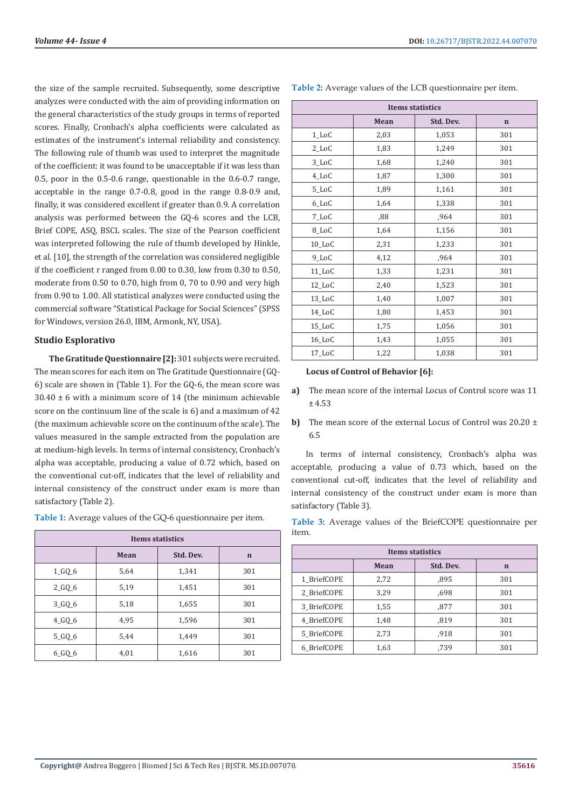the size of the sample recruited. Subsequently, some descriptive analyzes were conducted with the aim of providing information on the general characteristics of the study groups in terms of reported scores. Finally, Cronbach's alpha coefficients were calculated as estimates of the instrument's internal reliability and consistency. The following rule of thumb was used to interpret the magnitude of the coefficient: it was found to be unacceptable if it was less than 0.5, poor in the 0.5-0.6 range, questionable in the 0.6-0.7 range, acceptable in the range 0.7-0.8, good in the range 0.8-0.9 and, finally, it was considered excellent if greater than 0.9. A correlation analysis was performed between the GQ-6 scores and the LCB, Brief COPE, ASQ, BSCL scales. The size of the Pearson coefficient was interpreted following the rule of thumb developed by Hinkle, et al. [10], the strength of the correlation was considered negligible if the coefficient r ranged from 0.00 to 0.30, low from 0.30 to 0.50, moderate from 0.50 to 0.70, high from 0, 70 to 0.90 and very high from 0.90 to 1.00. All statistical analyzes were conducted using the commercial software "Statistical Package for Social Sciences" (SPSS for Windows, version 26.0, IBM, Armonk, NY, USA).

# **Studio Esplorativo**

**The Gratitude Questionnaire [2]:** 301 subjects were recruited. The mean scores for each item on The Gratitude Questionnaire (GQ-6) scale are shown in (Table 1). For the GQ-6, the mean score was 30.40 ± 6 with a minimum score of 14 (the minimum achievable score on the continuum line of the scale is 6) and a maximum of 42 (the maximum achievable score on the continuum of the scale). The values measured in the sample extracted from the population are at medium-high levels. In terms of internal consistency, Cronbach's alpha was acceptable, producing a value of 0.72 which, based on the conventional cut-off, indicates that the level of reliability and internal consistency of the construct under exam is more than satisfactory (Table 2).

**Table 1:** Average values of the GQ-6 questionnaire per item.

| <b>Items statistics</b> |                                  |       |     |  |
|-------------------------|----------------------------------|-------|-----|--|
|                         | Std. Dev.<br>Mean<br>$\mathbf n$ |       |     |  |
| $1_GQ_6$                | 5,64                             | 1,341 | 301 |  |
| $2_GQ_6$                | 5,19                             | 1,451 | 301 |  |
| $3_GQ_6$                | 5,18                             | 1,655 | 301 |  |
| $4_GQ_6$                | 4,95                             | 1,596 | 301 |  |
| $5_GQ_6$                | 5,44                             | 1,449 | 301 |  |
| $6_GQ_6$                | 4,01                             | 1,616 | 301 |  |

| Table 2: Average values of the LCB questionnaire per item. |  |  |
|------------------------------------------------------------|--|--|
|------------------------------------------------------------|--|--|

| <b>Items statistics</b> |      |           |     |
|-------------------------|------|-----------|-----|
|                         | Mean | Std. Dev. |     |
| $1\_\mathrm{LOC}$       | 2,03 | 1,053     | 301 |
| 2_LoC                   | 1,83 | 1,249     | 301 |
| 3_LoC                   | 1,68 | 1,240     | 301 |
| 4_LoC                   | 1,87 | 1,300     | 301 |
| 5_LoC                   | 1,89 | 1,161     | 301 |
| 6_LoC                   | 1,64 | 1,338     | 301 |
| 7_LoC                   | ,88  | ,964      | 301 |
| 8_LoC                   | 1,64 | 1,156     | 301 |
| $10$ _LoC               | 2,31 | 1,233     | 301 |
| 9_LoC                   | 4,12 | ,964      | 301 |
| 11_LoC                  | 1,33 | 1,231     | 301 |
| 12_LoC                  | 2,40 | 1,523     | 301 |
| 13_LoC                  | 1,40 | 1,007     | 301 |
| 14_LoC                  | 1,80 | 1,453     | 301 |
| 15_LoC                  | 1,75 | 1,056     | 301 |
| 16_LoC                  | 1,43 | 1,055     | 301 |
| 17_LoC                  | 1,22 | 1,038     | 301 |

#### **Locus of Control of Behavior [6]:**

- **a)** The mean score of the internal Locus of Control score was 11 ± 4.53
- **b)** The mean score of the external Locus of Control was 20.20 ± 6.5

In terms of internal consistency, Cronbach's alpha was acceptable, producing a value of 0.73 which, based on the conventional cut-off, indicates that the level of reliability and internal consistency of the construct under exam is more than satisfactory (Table 3).

**Table 3:** Average values of the BriefCOPE questionnaire per item.

| Items statistics       |      |      |     |  |
|------------------------|------|------|-----|--|
| Std. Dev.<br>Mean<br>n |      |      |     |  |
| 1 BriefCOPE            | 2,72 | ,895 | 301 |  |
| 2 BriefCOPE            | 3.29 | .698 | 301 |  |
| 3 BriefCOPE            | 1,55 | ,877 | 301 |  |
| 4 BriefCOPE            | 1,48 | ,819 | 301 |  |
| 5 BriefCOPE            | 2,73 | ,918 | 301 |  |
| 6 BriefCOPE            | 1,63 | ,739 | 301 |  |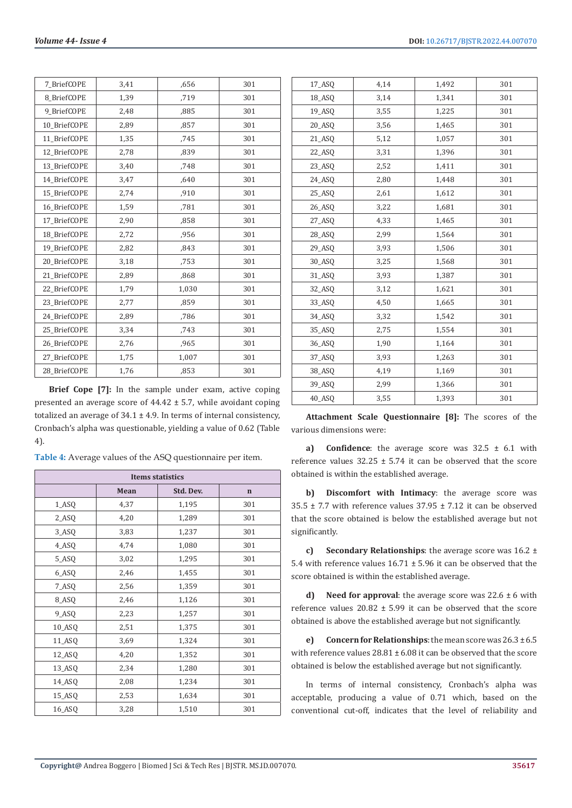| 7 BriefCOPE  | 3,41 | ,656  | 301 |
|--------------|------|-------|-----|
| 8 BriefCOPE  | 1,39 | ,719  | 301 |
| 9 BriefCOPE  | 2,48 | ,885  | 301 |
| 10 BriefCOPE | 2,89 | ,857  | 301 |
| 11 BriefCOPE | 1,35 | .745  | 301 |
| 12 BriefCOPE | 2,78 | ,839  | 301 |
| 13 BriefCOPE | 3,40 | ,748  | 301 |
| 14 BriefCOPE | 3,47 | ,640  | 301 |
| 15 BriefCOPE | 2,74 | ,910  | 301 |
| 16 BriefCOPE | 1,59 | ,781  | 301 |
| 17 BriefCOPE | 2,90 | ,858  | 301 |
| 18 BriefCOPE | 2,72 | ,956  | 301 |
| 19 BriefCOPE | 2,82 | ,843  | 301 |
| 20 BriefCOPE | 3,18 | ,753  | 301 |
| 21 BriefCOPE | 2,89 | ,868  | 301 |
| 22 BriefCOPE | 1,79 | 1,030 | 301 |
| 23 BriefCOPE | 2,77 | ,859  | 301 |
| 24 BriefCOPE | 2,89 | ,786  | 301 |
| 25 BriefCOPE | 3,34 | ,743  | 301 |
| 26 BriefCOPE | 2,76 | ,965  | 301 |
| 27 BriefCOPE | 1,75 | 1,007 | 301 |
| 28 BriefCOPE | 1,76 | ,853  | 301 |
|              |      |       |     |

**Brief Cope [7]:** In the sample under exam, active coping presented an average score of 44.42 ± 5.7, while avoidant coping totalized an average of  $34.1 \pm 4.9$ . In terms of internal consistency, Cronbach's alpha was questionable, yielding a value of 0.62 (Table 4).

**Table 4:** Average values of the ASQ questionnaire per item.

| <b>Items statistics</b> |                   |       |     |  |
|-------------------------|-------------------|-------|-----|--|
|                         | Std. Dev.<br>Mean |       |     |  |
| 1_ASQ                   | 4,37              | 1,195 | 301 |  |
| 2_ASQ                   | 4,20              | 1,289 | 301 |  |
| 3_ASQ                   | 3,83              | 1,237 | 301 |  |
| 4_ASQ                   | 4,74              | 1,080 | 301 |  |
| 5_ASQ                   | 3,02              | 1,295 | 301 |  |
| 6_ASQ                   | 2,46              | 1,455 | 301 |  |
| 7_ASQ                   | 2,56              | 1,359 | 301 |  |
| 8_ASQ                   | 2,46              | 1,126 | 301 |  |
| 9_ASQ                   | 2,23              | 1,257 | 301 |  |
| 10_ASQ                  | 2,51              | 1,375 | 301 |  |
| 11_ASQ                  | 3,69              | 1,324 | 301 |  |
| 12_ASQ                  | 4,20              | 1,352 | 301 |  |
| 13_ASQ                  | 2,34              | 1,280 | 301 |  |
| 14_ASQ                  | 2,08              | 1,234 | 301 |  |
| 15_ASQ                  | 2,53              | 1,634 | 301 |  |
| 16_ASQ                  | 3,28              | 1,510 | 301 |  |

| 17_ASQ | 4,14 | 1,492 | 301 |
|--------|------|-------|-----|
| 18_ASQ | 3,14 | 1,341 | 301 |
| 19_ASQ | 3,55 | 1,225 | 301 |
| 20_ASQ | 3,56 | 1,465 | 301 |
| 21_ASQ | 5,12 | 1,057 | 301 |
| 22_ASQ | 3,31 | 1,396 | 301 |
| 23_ASQ | 2,52 | 1,411 | 301 |
| 24_ASQ | 2,80 | 1,448 | 301 |
| 25_ASQ | 2,61 | 1,612 | 301 |
| 26_ASQ | 3,22 | 1,681 | 301 |
| 27_ASQ | 4,33 | 1,465 | 301 |
| 28_ASQ | 2,99 | 1,564 | 301 |
| 29_ASQ | 3,93 | 1,506 | 301 |
| 30_ASQ | 3,25 | 1,568 | 301 |
| 31_ASQ | 3,93 | 1,387 | 301 |
| 32_ASQ | 3,12 | 1,621 | 301 |
| 33_ASQ | 4,50 | 1,665 | 301 |
| 34_ASQ | 3,32 | 1,542 | 301 |
| 35_ASQ | 2,75 | 1,554 | 301 |
| 36_ASQ | 1,90 | 1,164 | 301 |
| 37_ASQ | 3,93 | 1,263 | 301 |
| 38_ASQ | 4,19 | 1,169 | 301 |
| 39_ASQ | 2,99 | 1,366 | 301 |
| 40_ASQ | 3,55 | 1,393 | 301 |
|        |      |       |     |

**Attachment Scale Questionnaire [8]:** The scores of the various dimensions were:

**a) Confidence**: the average score was 32.5 ± 6.1 with reference values  $32.25 \pm 5.74$  it can be observed that the score obtained is within the established average.

**b) Discomfort with Intimacy**: the average score was 35.5  $\pm$  7.7 with reference values 37.95  $\pm$  7.12 it can be observed that the score obtained is below the established average but not significantly.

**c) Secondary Relationships**: the average score was 16.2 ± 5.4 with reference values 16.71 ± 5.96 it can be observed that the score obtained is within the established average.

**d) Need for approval**: the average score was 22.6 ± 6 with reference values  $20.82 \pm 5.99$  it can be observed that the score obtained is above the established average but not significantly.

**e) Concern for Relationships**: the mean score was 26.3 ± 6.5 with reference values  $28.81 \pm 6.08$  it can be observed that the score obtained is below the established average but not significantly.

In terms of internal consistency, Cronbach's alpha was acceptable, producing a value of 0.71 which, based on the conventional cut-off, indicates that the level of reliability and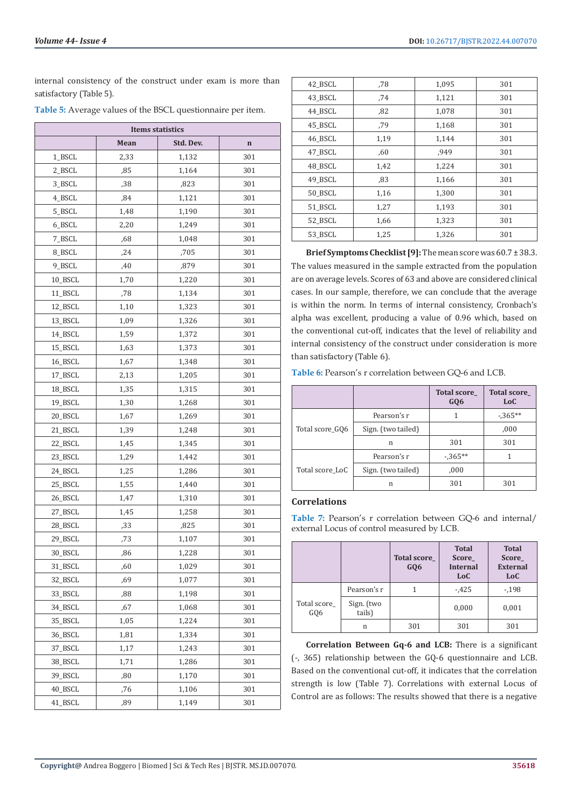internal consistency of the construct under exam is more than satisfactory (Table 5).

| Table 5: Average values of the BSCL questionnaire per item. |  |  |
|-------------------------------------------------------------|--|--|
|-------------------------------------------------------------|--|--|

| <b>Items statistics</b> |      |           |             |  |
|-------------------------|------|-----------|-------------|--|
|                         | Mean | Std. Dev. | $\mathbf n$ |  |
| 1_BSCL                  | 2,33 | 1,132     | 301         |  |
| 2_BSCL                  | ,85  | 1,164     | 301         |  |
| 3_BSCL                  | ,38  | ,823      | 301         |  |
| 4_BSCL                  | ,84  | 1,121     | 301         |  |
| 5_BSCL                  | 1,48 | 1,190     | 301         |  |
| 6_BSCL                  | 2,20 | 1,249     | 301         |  |
| 7_BSCL                  | ,68  | 1,048     | 301         |  |
| 8_BSCL                  | ,24  | ,705      | 301         |  |
| 9_BSCL                  | ,40  | ,879      | 301         |  |
| 10_BSCL                 | 1,70 | 1,220     | 301         |  |
| 11_BSCL                 | ,78  | 1,134     | 301         |  |
| 12_BSCL                 | 1,10 | 1,323     | 301         |  |
| 13_BSCL                 | 1,09 | 1,326     | 301         |  |
| 14_BSCL                 | 1,59 | 1,372     | 301         |  |
| 15 BSCL                 | 1,63 | 1,373     | 301         |  |
| 16_BSCL                 | 1,67 | 1,348     | 301         |  |
| 17_BSCL                 | 2,13 | 1,205     | 301         |  |
| 18_BSCL                 | 1,35 | 1,315     | 301         |  |
| 19_BSCL                 | 1,30 | 1,268     | 301         |  |
| 20_BSCL                 | 1,67 | 1,269     | 301         |  |
| 21_BSCL                 | 1,39 | 1,248     | 301         |  |
| 22_BSCL                 | 1,45 | 1,345     | 301         |  |
| 23_BSCL                 | 1,29 | 1,442     | 301         |  |
| 24_BSCL                 | 1,25 | 1,286     | 301         |  |
| 25_BSCL                 | 1,55 | 1,440     | 301         |  |
| 26_BSCL                 | 1,47 | 1,310     | 301         |  |
| 27_BSCL                 | 1,45 | 1,258     | 301         |  |
| 28_BSCL                 | ,33  | ,825      | 301         |  |
| 29_BSCL                 | ,73  | 1,107     | 301         |  |
| 30 BSCL                 | ,86  | 1,228     | 301         |  |
| 31_BSCL                 | ,60  | 1,029     | 301         |  |
| 32_BSCL                 | ,69  | 1,077     | 301         |  |
| 33_BSCL                 | ,88  | 1,198     | 301         |  |
| 34_BSCL                 | ,67  | 1,068     | 301         |  |
| 35_BSCL                 | 1,05 | 1,224     | 301         |  |
| 36_BSCL                 | 1,81 | 1,334     | 301         |  |
| 37_BSCL                 | 1,17 | 1,243     | 301         |  |
| 38_BSCL                 | 1,71 | 1,286     | 301         |  |
| 39_BSCL                 | ,80  | 1,170     | 301         |  |
| 40_BSCL                 | ,76  | 1,106     | 301         |  |
| 41_BSCL                 | ,89  | 1,149     | 301         |  |

| 42_BSCL | .78  | 1,095 | 301 |
|---------|------|-------|-----|
| 43 BSCL | .74  | 1,121 | 301 |
| 44 BSCL | .82  | 1,078 | 301 |
| 45 BSCL | .79  | 1,168 | 301 |
| 46 BSCL | 1,19 | 1,144 | 301 |
| 47 BSCL | .60  | ,949  | 301 |
| 48 BSCL | 1,42 | 1,224 | 301 |
| 49 BSCL | ,83  | 1,166 | 301 |
| 50 BSCL | 1,16 | 1,300 | 301 |
| 51 BSCL | 1,27 | 1,193 | 301 |
| 52 BSCL | 1,66 | 1,323 | 301 |
| 53 BSCL | 1,25 | 1,326 | 301 |
|         |      |       |     |

**Brief Symptoms Checklist [9]:** The mean score was 60.7 ± 38.3. The values measured in the sample extracted from the population are on average levels. Scores of 63 and above are considered clinical cases. In our sample, therefore, we can conclude that the average is within the norm. In terms of internal consistency, Cronbach's alpha was excellent, producing a value of 0.96 which, based on the conventional cut-off, indicates that the level of reliability and internal consistency of the construct under consideration is more than satisfactory (Table 6).

**Table 6:** Pearson's r correlation between GQ-6 and LCB.

|                 |                    | <b>Total score</b><br>GQ <sub>6</sub> | <b>Total score</b><br>LoC |
|-----------------|--------------------|---------------------------------------|---------------------------|
|                 | Pearson's r        |                                       | $-0.365**$                |
| Total score_GQ6 | Sign. (two tailed) |                                       | ,000                      |
|                 | n                  | 301                                   | 301                       |
|                 | Pearson's r        | $-365**$                              |                           |
| Total score LoC | Sign. (two tailed) | ,000                                  |                           |
|                 | n                  | 301                                   | 301                       |

# **Correlations**

**Table 7:** Pearson's r correlation between GQ-6 and internal/ external Locus of control measured by LCB.

|                    |                      | Total score_<br>GQ6 | <b>Total</b><br><b>Score</b><br><b>Internal</b><br>LoC | <b>Total</b><br><b>Score</b><br><b>External</b><br>LoC |
|--------------------|----------------------|---------------------|--------------------------------------------------------|--------------------------------------------------------|
|                    | Pearson's r          |                     | $-425$                                                 | $-198$                                                 |
| Total score<br>GQ6 | Sign. (two<br>tails) |                     | 0,000                                                  | 0,001                                                  |
|                    | n                    | 301                 | 301                                                    | 301                                                    |

**Correlation Between Gq-6 and LCB:** There is a significant (-, 365) relationship between the GQ-6 questionnaire and LCB. Based on the conventional cut-off, it indicates that the correlation strength is low (Table 7). Correlations with external Locus of Control are as follows: The results showed that there is a negative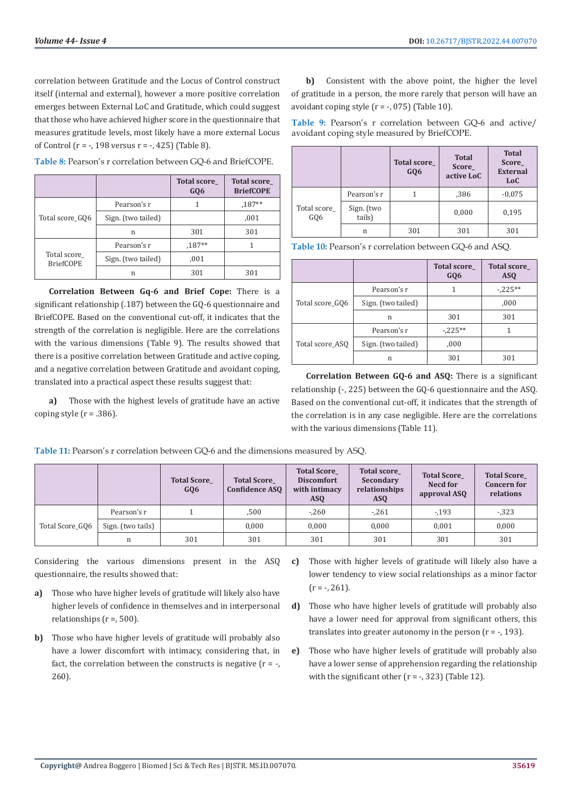correlation between Gratitude and the Locus of Control construct itself (internal and external), however a more positive correlation emerges between External LoC and Gratitude, which could suggest that those who have achieved higher score in the questionnaire that measures gratitude levels, most likely have a more external Locus of Control ( $r = -198$  versus  $r = -1425$ ) (Table 8).

|                                 |                    | <b>Total score</b><br>GQ <sub>6</sub> | <b>Total score</b><br><b>BriefCOPE</b> |
|---------------------------------|--------------------|---------------------------------------|----------------------------------------|
|                                 | Pearson's r        |                                       | $,187**$                               |
| Total score GO6                 | Sign. (two tailed) |                                       | ,001                                   |
|                                 | n                  | 301                                   | 301                                    |
| Total score<br><b>BriefCOPE</b> | Pearson's r        | $,187**$                              |                                        |
|                                 | Sign. (two tailed) | ,001                                  |                                        |
|                                 | n                  | 301                                   | 301                                    |

**Table 8:** Pearson's r correlation between GQ-6 and BriefCOPE.

**Correlation Between Gq-6 and Brief Cope:** There is a significant relationship (.187) between the GQ-6 questionnaire and BriefCOPE. Based on the conventional cut-off, it indicates that the strength of the correlation is negligible. Here are the correlations with the various dimensions (Table 9). The results showed that there is a positive correlation between Gratitude and active coping, and a negative correlation between Gratitude and avoidant coping, translated into a practical aspect these results suggest that:

**a)** Those with the highest levels of gratitude have an active coping style  $(r = .386)$ .

**b)** Consistent with the above point, the higher the level of gratitude in a person, the more rarely that person will have an avoidant coping style  $(r = -0.075)$  (Table 10).

**Table 9:** Pearson's r correlation between GQ-6 and active/ avoidant coping style measured by BriefCOPE.

|                                |                      | <b>Total score</b><br>GQ6 | <b>Total</b><br><b>Score</b><br>active LoC | <b>Total</b><br><b>Score</b><br><b>External</b><br>LoC |
|--------------------------------|----------------------|---------------------------|--------------------------------------------|--------------------------------------------------------|
|                                | Pearson's r          |                           | ,386                                       | $-0.075$                                               |
| Total score<br>GO <sub>6</sub> | Sign. (two<br>tails) |                           | 0,000                                      | 0,195                                                  |
|                                | n                    | 301                       | 301                                        | 301                                                    |

**Table 10:** Pearson's r correlation between GQ-6 and ASQ.

|                 |                    | <b>Total score</b><br>GQ6 | <b>Total score</b><br><b>ASQ</b> |
|-----------------|--------------------|---------------------------|----------------------------------|
|                 | Pearson's r        |                           | $-225**$                         |
| Total score_GQ6 | Sign. (two tailed) |                           | ,000                             |
|                 | n                  | 301                       | 301                              |
|                 | Pearson's r        | $-225**$                  |                                  |
| Total score_ASQ | Sign. (two tailed) | ,000                      |                                  |
|                 | n                  | 301                       | 301                              |

**Correlation Between GQ-6 and ASQ:** There is a significant relationship (-, 225) between the GQ-6 questionnaire and the ASQ. Based on the conventional cut-off, it indicates that the strength of the correlation is in any case negligible. Here are the correlations with the various dimensions (Table 11).

**Table 11:** Pearson's r correlation between GQ-6 and the dimensions measured by ASQ.

|                 |                   | <b>Total Score</b><br>GQ6 | <b>Total Score</b><br><b>Confidence ASO</b> | <b>Total Score</b><br><b>Discomfort</b><br>with intimacy<br>ASO | <b>Total score</b><br>Secondary<br>relationships<br><b>ASQ</b> | <b>Total Score</b><br>Necd for<br>approval ASO | <b>Total Score</b><br><b>Concern for</b><br>relations |
|-----------------|-------------------|---------------------------|---------------------------------------------|-----------------------------------------------------------------|----------------------------------------------------------------|------------------------------------------------|-------------------------------------------------------|
| Total Score GO6 | Pearson's r       |                           | ,500                                        | $-260$                                                          | $-261$                                                         | $-193$                                         | $-323$                                                |
|                 | Sign. (two tails) |                           | 0.000                                       | 0.000                                                           | 0,000                                                          | 0.001                                          | 0,000                                                 |
|                 | n                 | 301                       | 301                                         | 301                                                             | 301                                                            | 301                                            | 301                                                   |

Considering the various dimensions present in the ASQ questionnaire, the results showed that:

- **a)** Those who have higher levels of gratitude will likely also have higher levels of confidence in themselves and in interpersonal relationships (r =, 500).
- **b)** Those who have higher levels of gratitude will probably also have a lower discomfort with intimacy, considering that, in fact, the correlation between the constructs is negative  $(r = -$ , 260).
- **c)** Those with higher levels of gratitude will likely also have a lower tendency to view social relationships as a minor factor  $(r = -7, 261)$ .
- **d)** Those who have higher levels of gratitude will probably also have a lower need for approval from significant others, this translates into greater autonomy in the person  $(r = -193)$ .
- **e)** Those who have higher levels of gratitude will probably also have a lower sense of apprehension regarding the relationship with the significant other  $(r = -1, 323)$  (Table 12).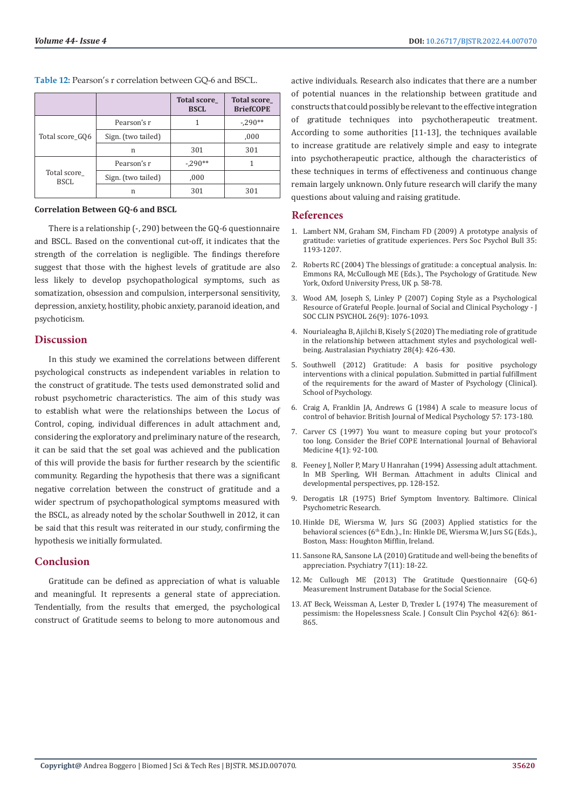**Table 12:** Pearson's r correlation between GQ-6 and BSCL.

|                            |                    | <b>Total score_</b><br><b>BSCL</b> | <b>Total score</b><br><b>BriefCOPE</b> |
|----------------------------|--------------------|------------------------------------|----------------------------------------|
|                            | Pearson's r        |                                    | $-290**$                               |
| Total score_GQ6            | Sign. (two tailed) |                                    | ,000                                   |
|                            | n                  | 301                                | 301                                    |
|                            | Pearson's r        | $-290**$                           |                                        |
| Total score<br><b>BSCL</b> | Sign. (two tailed) | ,000                               |                                        |
|                            | n                  | 301                                | 301                                    |

#### **Correlation Between GQ-6 and BSCL**

There is a relationship (-, 290) between the GQ-6 questionnaire and BSCL. Based on the conventional cut-off, it indicates that the strength of the correlation is negligible. The findings therefore suggest that those with the highest levels of gratitude are also less likely to develop psychopathological symptoms, such as somatization, obsession and compulsion, interpersonal sensitivity, depression, anxiety, hostility, phobic anxiety, paranoid ideation, and psychoticism.

### **Discussion**

In this study we examined the correlations between different psychological constructs as independent variables in relation to the construct of gratitude. The tests used demonstrated solid and robust psychometric characteristics. The aim of this study was to establish what were the relationships between the Locus of Control, coping, individual differences in adult attachment and, considering the exploratory and preliminary nature of the research, it can be said that the set goal was achieved and the publication of this will provide the basis for further research by the scientific community. Regarding the hypothesis that there was a significant negative correlation between the construct of gratitude and a wider spectrum of psychopathological symptoms measured with the BSCL, as already noted by the scholar Southwell in 2012, it can be said that this result was reiterated in our study, confirming the hypothesis we initially formulated.

# **Conclusion**

Gratitude can be defined as appreciation of what is valuable and meaningful. It represents a general state of appreciation. Tendentially, from the results that emerged, the psychological construct of Gratitude seems to belong to more autonomous and

active individuals. Research also indicates that there are a number of potential nuances in the relationship between gratitude and constructs that could possibly be relevant to the effective integration of gratitude techniques into psychotherapeutic treatment. According to some authorities [11-13], the techniques available to increase gratitude are relatively simple and easy to integrate into psychotherapeutic practice, although the characteristics of these techniques in terms of effectiveness and continuous change remain largely unknown. Only future research will clarify the many questions about valuing and raising gratitude.

# **References**

- 1. [Lambert NM, Graham SM, Fincham FD \(2009\) A prototype analysis of](http://citeseerx.ist.psu.edu/viewdoc/download?doi=10.1.1.719.3927&rep=rep1&type=pdf) [gratitude: varieties of gratitude experiences. Pers Soc Psychol Bull 35:](http://citeseerx.ist.psu.edu/viewdoc/download?doi=10.1.1.719.3927&rep=rep1&type=pdf) [1193-1207.](http://citeseerx.ist.psu.edu/viewdoc/download?doi=10.1.1.719.3927&rep=rep1&type=pdf)
- 2. Roberts RC (2004) The blessings of gratitude: a conceptual analysis. In: Emmons RA, McCullough ME (Eds.)., The Psychology of Gratitude. New York, Oxford University Press, UK p. 58-78.
- 3. Wood AM, Joseph S, Linley P (2007) Coping Style as a Psychological Resource of Grateful People. Journal of Social and Clinical Psychology - J SOC CLIN PSYCHOL 26(9): 1076-1093.
- 4. [Nourialeagha B, Ajilchi B, Kisely S \(2020\) The mediating role of gratitude](https://journals.sagepub.com/doi/abs/10.1177/1039856220930672) [in the relationship between attachment styles and psychological well](https://journals.sagepub.com/doi/abs/10.1177/1039856220930672)[being. Australasian Psychiatry 28\(4\): 426-430.](https://journals.sagepub.com/doi/abs/10.1177/1039856220930672)
- 5. [Southwell \(2012\) Gratitude: A basis for positive psychology](https://dro.deakin.edu.au/eserv/DU:30064974/southwell-gratitudeabasis-2012A.pdf) [interventions with a clinical population. Submitted in partial fulfillment](https://dro.deakin.edu.au/eserv/DU:30064974/southwell-gratitudeabasis-2012A.pdf) [of the requirements for the award of Master of Psychology \(Clinical\).](https://dro.deakin.edu.au/eserv/DU:30064974/southwell-gratitudeabasis-2012A.pdf) [School of Psychology.](https://dro.deakin.edu.au/eserv/DU:30064974/southwell-gratitudeabasis-2012A.pdf)
- 6. [Craig A, Franklin JA, Andrews G \(1984\) A scale to measure locus of](https://pubmed.ncbi.nlm.nih.gov/6743598/) [control of behavior. British Journal of Medical Psychology 57: 173-180.](https://pubmed.ncbi.nlm.nih.gov/6743598/)
- 7. [Carver CS \(1997\) You want to measure coping but your protocol's](https://pubmed.ncbi.nlm.nih.gov/16250744/) [too long. Consider the Brief COPE International Journal of Behavioral](https://pubmed.ncbi.nlm.nih.gov/16250744/) [Medicine 4\(1\): 92-100.](https://pubmed.ncbi.nlm.nih.gov/16250744/)
- 8. [Feeney J, Noller P, Mary U Hanrahan \(1994\) Assessing adult attachment.](https://www.researchgate.net/publication/232537025_Assessing_adult_attachment) [In MB Sperling, WH Berman. Attachment in adults Clinical and](https://www.researchgate.net/publication/232537025_Assessing_adult_attachment) [developmental perspectives, pp. 128-152.](https://www.researchgate.net/publication/232537025_Assessing_adult_attachment)
- 9. [Derogatis LR \(1975\) Brief Symptom Inventory. Baltimore. Clinical](https://hazards.colorado.edu/nhcdata/chernobyl/ChData/ScalesInstruments/Scales%20and%20Indices/Scale%20Construction%20Instructions/BSI.pdf) [Psychometric Research.](https://hazards.colorado.edu/nhcdata/chernobyl/ChData/ScalesInstruments/Scales%20and%20Indices/Scale%20Construction%20Instructions/BSI.pdf)
- 10. Hinkle DE, Wiersma W, Jurs SG (2003) Applied statistics for the behavioral sciences (6<sup>th</sup> Edn.)., In: Hinkle DE, Wiersma W, Jurs SG (Eds.)., Boston, Mass: Houghton Mifflin, Ireland.
- 11. Sansone RA, Sansone LA (2010) Gratitude and well-being the benefits of appreciation. Psychiatry 7(11): 18-22.
- 12. [Mc Cullough ME \(2013\) The Gratitude Questionnaire \(GQ-6\)](https://www.midss.org/content/gratitude-questionaire-gq-6) [Measurement Instrument Database for the Social Science.](https://www.midss.org/content/gratitude-questionaire-gq-6)
- 13. [AT Beck, Weissman A, Lester D, Trexler L \(1974\) The measurement of](https://pubmed.ncbi.nlm.nih.gov/4436473/) [pessimism: the Hopelessness Scale. J Consult Clin Psychol 42\(6\): 861-](https://pubmed.ncbi.nlm.nih.gov/4436473/) [865.](https://pubmed.ncbi.nlm.nih.gov/4436473/)